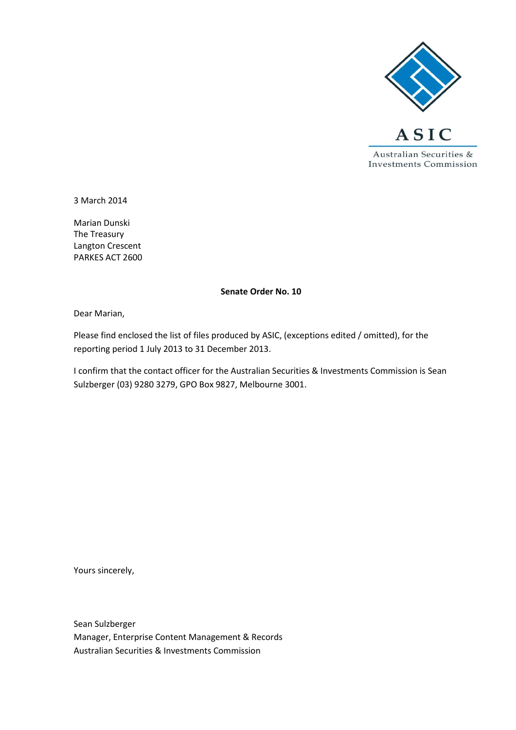

3 March 2014

Marian Dunski The Treasury Langton Crescent PARKES ACT 2600

#### **Senate Order No. 10**

Dear Marian,

Please find enclosed the list of files produced by ASIC, (exceptions edited / omitted), for the reporting period 1 July 2013 to 31 December 2013.

I confirm that the contact officer for the Australian Securities & Investments Commission is Sean Sulzberger (03) 9280 3279, GPO Box 9827, Melbourne 3001.

Yours sincerely,

Sean Sulzberger Manager, Enterprise Content Management & Records Australian Securities & Investments Commission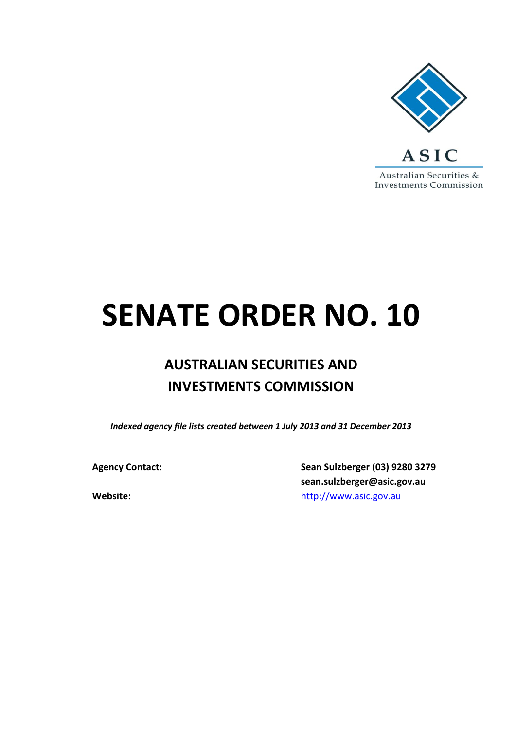

# **SENATE ORDER NO. 10**

## **AUSTRALIAN SECURITIES AND INVESTMENTS COMMISSION**

*Indexed agency file lists created between 1 July 2013 and 31 December 2013*

**Agency Contact: Sean Sulzberger (03) 9280 3279 sean.sulzberger@asic.gov.au Website:** [http://www.asic.gov.au](http://www.asic.gov.au/)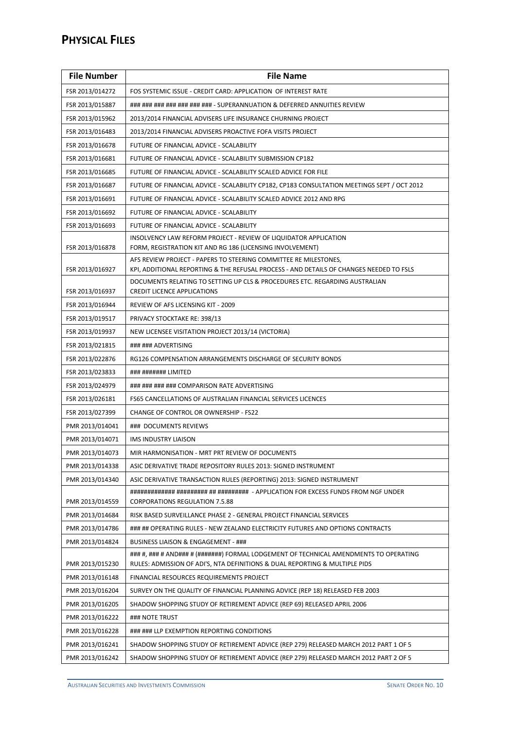#### **PHYSICAL FILES**

| <b>File Number</b> | <b>File Name</b>                                                                                                                                                     |  |
|--------------------|----------------------------------------------------------------------------------------------------------------------------------------------------------------------|--|
| FSR 2013/014272    | FOS SYSTEMIC ISSUE - CREDIT CARD: APPLICATION OF INTEREST RATE                                                                                                       |  |
| FSR 2013/015887    | ### ### ### ### ### ### - SUPERANNUATION & DEFERRED ANNUITIES REVIEW                                                                                                 |  |
| FSR 2013/015962    | 2013/2014 FINANCIAL ADVISERS LIFE INSURANCE CHURNING PROJECT                                                                                                         |  |
| FSR 2013/016483    | 2013/2014 FINANCIAL ADVISERS PROACTIVE FOFA VISITS PROJECT                                                                                                           |  |
| FSR 2013/016678    | FUTURE OF FINANCIAL ADVICE - SCALABILITY                                                                                                                             |  |
| FSR 2013/016681    | FUTURE OF FINANCIAL ADVICE - SCALABILITY SUBMISSION CP182                                                                                                            |  |
| FSR 2013/016685    | FUTURE OF FINANCIAL ADVICE - SCALABILITY SCALED ADVICE FOR FILE                                                                                                      |  |
| FSR 2013/016687    | FUTURE OF FINANCIAL ADVICE - SCALABILITY CP182, CP183 CONSULTATION MEETINGS SEPT / OCT 2012                                                                          |  |
| FSR 2013/016691    | FUTURE OF FINANCIAL ADVICE - SCALABILITY SCALED ADVICE 2012 AND RPG                                                                                                  |  |
| FSR 2013/016692    | FUTURE OF FINANCIAL ADVICE - SCALABILITY                                                                                                                             |  |
| FSR 2013/016693    | FUTURE OF FINANCIAL ADVICE - SCALABILITY                                                                                                                             |  |
| FSR 2013/016878    | INSOLVENCY LAW REFORM PROJECT - REVIEW OF LIQUIDATOR APPLICATION<br>FORM, REGISTRATION KIT AND RG 186 (LICENSING INVOLVEMENT)                                        |  |
|                    | AFS REVIEW PROJECT - PAPERS TO STEERING COMMITTEE RE MILESTONES,                                                                                                     |  |
| FSR 2013/016927    | KPI, ADDITIONAL REPORTING & THE REFUSAL PROCESS - AND DETAILS OF CHANGES NEEDED TO FSLS                                                                              |  |
| FSR 2013/016937    | DOCUMENTS RELATING TO SETTING UP CLS & PROCEDURES ETC. REGARDING AUSTRALIAN<br><b>CREDIT LICENCE APPLICATIONS</b>                                                    |  |
| FSR 2013/016944    | REVIEW OF AFS LICENSING KIT - 2009                                                                                                                                   |  |
| FSR 2013/019517    | PRIVACY STOCKTAKE RE: 398/13                                                                                                                                         |  |
| FSR 2013/019937    | NEW LICENSEE VISITATION PROJECT 2013/14 (VICTORIA)                                                                                                                   |  |
| FSR 2013/021815    | ### ### ADVERTISING                                                                                                                                                  |  |
| FSR 2013/022876    | RG126 COMPENSATION ARRANGEMENTS DISCHARGE OF SECURITY BONDS                                                                                                          |  |
| FSR 2013/023833    | ### ####### LIMITED                                                                                                                                                  |  |
| FSR 2013/024979    | ### ### ### ### COMPARISON RATE ADVERTISING                                                                                                                          |  |
| FSR 2013/026181    | FS65 CANCELLATIONS OF AUSTRALIAN FINANCIAL SERVICES LICENCES                                                                                                         |  |
| FSR 2013/027399    | <b>CHANGE OF CONTROL OR OWNERSHIP - FS22</b>                                                                                                                         |  |
| PMR 2013/014041    | ### DOCUMENTS REVIEWS                                                                                                                                                |  |
| PMR 2013/014071    | IMS INDUSTRY LIAISON                                                                                                                                                 |  |
| PMR 2013/014073    | MIR HARMONISATION - MRT PRT REVIEW OF DOCUMENTS                                                                                                                      |  |
| PMR 2013/014338    | ASIC DERIVATIVE TRADE REPOSITORY RULES 2013: SIGNED INSTRUMENT                                                                                                       |  |
| PMR 2013/014340    | ASIC DERIVATIVE TRANSACTION RULES (REPORTING) 2013: SIGNED INSTRUMENT                                                                                                |  |
| PMR 2013/014559    | <b>CORPORATIONS REGULATION 7.5.88</b>                                                                                                                                |  |
| PMR 2013/014684    | RISK BASED SURVEILLANCE PHASE 2 - GENERAL PROJECT FINANCIAL SERVICES                                                                                                 |  |
| PMR 2013/014786    | ### ## OPERATING RULES - NEW ZEALAND ELECTRICITY FUTURES AND OPTIONS CONTRACTS                                                                                       |  |
| PMR 2013/014824    | <b>BUSINESS LIAISON &amp; ENGAGEMENT - ###</b>                                                                                                                       |  |
| PMR 2013/015230    | ### #, ### # AND### # (#######) FORMAL LODGEMENT OF TECHNICAL AMENDMENTS TO OPERATING<br>RULES: ADMISSION OF ADI'S, NTA DEFINITIONS & DUAL REPORTING & MULTIPLE PIDS |  |
| PMR 2013/016148    | FINANCIAL RESOURCES REQUIREMENTS PROJECT                                                                                                                             |  |
| PMR 2013/016204    | SURVEY ON THE QUALITY OF FINANCIAL PLANNING ADVICE (REP 18) RELEASED FEB 2003                                                                                        |  |
| PMR 2013/016205    | SHADOW SHOPPING STUDY OF RETIREMENT ADVICE (REP 69) RELEASED APRIL 2006                                                                                              |  |
| PMR 2013/016222    | ### NOTE TRUST                                                                                                                                                       |  |
| PMR 2013/016228    | ### ### LLP EXEMPTION REPORTING CONDITIONS                                                                                                                           |  |
| PMR 2013/016241    | SHADOW SHOPPING STUDY OF RETIREMENT ADVICE (REP 279) RELEASED MARCH 2012 PART 1 OF 5                                                                                 |  |
| PMR 2013/016242    | SHADOW SHOPPING STUDY OF RETIREMENT ADVICE (REP 279) RELEASED MARCH 2012 PART 2 OF 5                                                                                 |  |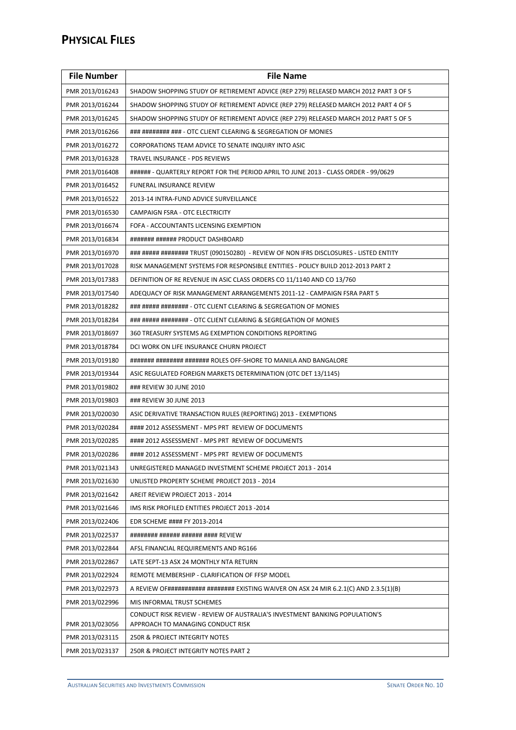| <b>File Number</b> | <b>File Name</b>                                                                                                 |  |
|--------------------|------------------------------------------------------------------------------------------------------------------|--|
| PMR 2013/016243    | SHADOW SHOPPING STUDY OF RETIREMENT ADVICE (REP 279) RELEASED MARCH 2012 PART 3 OF 5                             |  |
| PMR 2013/016244    | SHADOW SHOPPING STUDY OF RETIREMENT ADVICE (REP 279) RELEASED MARCH 2012 PART 4 OF 5                             |  |
| PMR 2013/016245    | SHADOW SHOPPING STUDY OF RETIREMENT ADVICE (REP 279) RELEASED MARCH 2012 PART 5 OF 5                             |  |
| PMR 2013/016266    | ### ######## ### - OTC CLIENT CLEARING & SEGREGATION OF MONIES                                                   |  |
| PMR 2013/016272    | CORPORATIONS TEAM ADVICE TO SENATE INQUIRY INTO ASIC                                                             |  |
| PMR 2013/016328    | TRAVEL INSURANCE - PDS REVIEWS                                                                                   |  |
| PMR 2013/016408    | ###### - QUARTERLY REPORT FOR THE PERIOD APRIL TO JUNE 2013 - CLASS ORDER - 99/0629                              |  |
| PMR 2013/016452    | <b>FUNERAL INSURANCE REVIEW</b>                                                                                  |  |
| PMR 2013/016522    | 2013-14 INTRA-FUND ADVICE SURVEILLANCE                                                                           |  |
| PMR 2013/016530    | CAMPAIGN FSRA - OTC ELECTRICITY                                                                                  |  |
| PMR 2013/016674    | FOFA - ACCOUNTANTS LICENSING EXEMPTION                                                                           |  |
| PMR 2013/016834    | ####### ###### PRODUCT DASHBOARD                                                                                 |  |
| PMR 2013/016970    | ### ##### ######## TRUST (090150280) - REVIEW OF NON IFRS DISCLOSURES - LISTED ENTITY                            |  |
| PMR 2013/017028    | RISK MANAGEMENT SYSTEMS FOR RESPONSIBLE ENTITIES - POLICY BUILD 2012-2013 PART 2                                 |  |
| PMR 2013/017383    | DEFINITION OF RE REVENUE IN ASIC CLASS ORDERS CO 11/1140 AND CO 13/760                                           |  |
| PMR 2013/017540    | ADEQUACY OF RISK MANAGEMENT ARRANGEMENTS 2011-12 - CAMPAIGN FSRA PART 5                                          |  |
| PMR 2013/018282    | ### ##### ######## - OTC CLIENT CLEARING & SEGREGATION OF MONIES                                                 |  |
| PMR 2013/018284    | ### ##### ######## - OTC CLIENT CLEARING & SEGREGATION OF MONIES                                                 |  |
| PMR 2013/018697    | 360 TREASURY SYSTEMS AG EXEMPTION CONDITIONS REPORTING                                                           |  |
| PMR 2013/018784    | DCI WORK ON LIFE INSURANCE CHURN PROJECT                                                                         |  |
| PMR 2013/019180    | ####### ######## ####### ROLES OFF-SHORE TO MANILA AND BANGALORE                                                 |  |
| PMR 2013/019344    | ASIC REGULATED FOREIGN MARKETS DETERMINATION (OTC DET 13/1145)                                                   |  |
| PMR 2013/019802    | ### REVIEW 30 JUNE 2010                                                                                          |  |
| PMR 2013/019803    | ### REVIEW 30 JUNE 2013                                                                                          |  |
| PMR 2013/020030    | ASIC DERIVATIVE TRANSACTION RULES (REPORTING) 2013 - EXEMPTIONS                                                  |  |
| PMR 2013/020284    | #### 2012 ASSESSMENT - MPS PRT REVIEW OF DOCUMENTS                                                               |  |
| PMR 2013/020285    | #### 2012 ASSESSMENT - MPS PRT REVIEW OF DOCUMENTS                                                               |  |
| PMR 2013/020286    | #### 2012 ASSESSMENT - MPS PRT REVIEW OF DOCUMENTS                                                               |  |
| PMR 2013/021343    | UNREGISTERED MANAGED INVESTMENT SCHEME PROJECT 2013 - 2014                                                       |  |
| PMR 2013/021630    | UNLISTED PROPERTY SCHEME PROJECT 2013 - 2014                                                                     |  |
| PMR 2013/021642    | AREIT REVIEW PROJECT 2013 - 2014                                                                                 |  |
| PMR 2013/021646    | IMS RISK PROFILED ENTITIES PROJECT 2013 -2014                                                                    |  |
| PMR 2013/022406    | EDR SCHEME #### FY 2013-2014                                                                                     |  |
| PMR 2013/022537    | ######## ###### ###### #### REVIEW                                                                               |  |
| PMR 2013/022844    | AFSL FINANCIAL REQUIREMENTS AND RG166                                                                            |  |
| PMR 2013/022867    | LATE SEPT-13 ASX 24 MONTHLY NTA RETURN                                                                           |  |
| PMR 2013/022924    | REMOTE MEMBERSHIP - CLARIFICATION OF FFSP MODEL                                                                  |  |
| PMR 2013/022973    | A REVIEW OF########### ######## EXISTING WAIVER ON ASX 24 MIR 6.2.1(C) AND 2.3.5(1)(B)                           |  |
| PMR 2013/022996    | MIS INFORMAL TRUST SCHEMES                                                                                       |  |
| PMR 2013/023056    | CONDUCT RISK REVIEW - REVIEW OF AUSTRALIA'S INVESTMENT BANKING POPULATION'S<br>APPROACH TO MANAGING CONDUCT RISK |  |
| PMR 2013/023115    | 250R & PROJECT INTEGRITY NOTES                                                                                   |  |
| PMR 2013/023137    | 250R & PROJECT INTEGRITY NOTES PART 2                                                                            |  |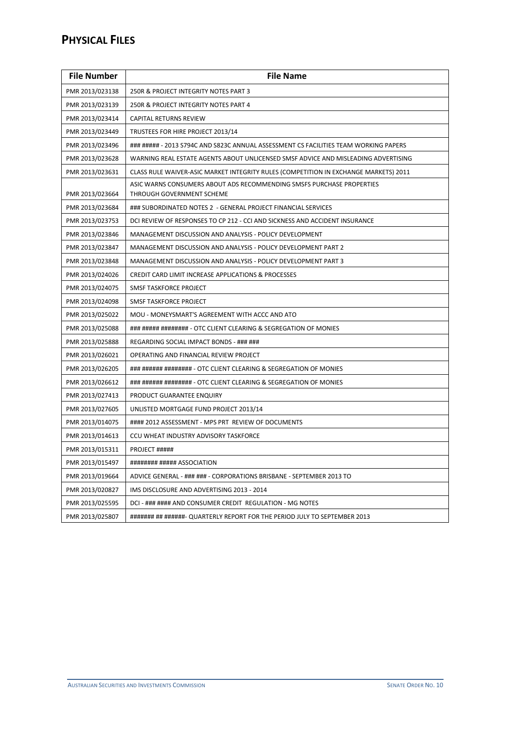#### **PHYSICAL FILES**

| <b>File Number</b> | <b>File Name</b>                                                                                   |  |
|--------------------|----------------------------------------------------------------------------------------------------|--|
| PMR 2013/023138    | 250R & PROJECT INTEGRITY NOTES PART 3                                                              |  |
| PMR 2013/023139    | 250R & PROJECT INTEGRITY NOTES PART 4                                                              |  |
| PMR 2013/023414    | CAPITAL RETURNS REVIEW                                                                             |  |
| PMR 2013/023449    | TRUSTEES FOR HIRE PROJECT 2013/14                                                                  |  |
| PMR 2013/023496    | ### ##### - 2013 S794C AND S823C ANNUAL ASSESSMENT CS FACILITIES TEAM WORKING PAPERS               |  |
| PMR 2013/023628    | WARNING REAL ESTATE AGENTS ABOUT UNLICENSED SMSF ADVICE AND MISLEADING ADVERTISING                 |  |
| PMR 2013/023631    | CLASS RULE WAIVER-ASIC MARKET INTEGRITY RULES (COMPETITION IN EXCHANGE MARKETS) 2011               |  |
| PMR 2013/023664    | ASIC WARNS CONSUMERS ABOUT ADS RECOMMENDING SMSFS PURCHASE PROPERTIES<br>THROUGH GOVERNMENT SCHEME |  |
| PMR 2013/023684    | ### SUBORDINATED NOTES 2 - GENERAL PROJECT FINANCIAL SERVICES                                      |  |
| PMR 2013/023753    | DCI REVIEW OF RESPONSES TO CP 212 - CCI AND SICKNESS AND ACCIDENT INSURANCE                        |  |
| PMR 2013/023846    | MANAGEMENT DISCUSSION AND ANALYSIS - POLICY DEVELOPMENT                                            |  |
| PMR 2013/023847    | MANAGEMENT DISCUSSION AND ANALYSIS - POLICY DEVELOPMENT PART 2                                     |  |
| PMR 2013/023848    | MANAGEMENT DISCUSSION AND ANALYSIS - POLICY DEVELOPMENT PART 3                                     |  |
| PMR 2013/024026    | CREDIT CARD LIMIT INCREASE APPLICATIONS & PROCESSES                                                |  |
| PMR 2013/024075    | SMSF TASKFORCE PROJECT                                                                             |  |
| PMR 2013/024098    | <b>SMSF TASKFORCE PROJECT</b>                                                                      |  |
| PMR 2013/025022    | MOU - MONEYSMART'S AGREEMENT WITH ACCC AND ATO                                                     |  |
| PMR 2013/025088    | ### ##### ######## - OTC CLIENT CLEARING & SEGREGATION OF MONIES                                   |  |
| PMR 2013/025888    | REGARDING SOCIAL IMPACT BONDS - ### ###                                                            |  |
| PMR 2013/026021    | OPERATING AND FINANCIAL REVIEW PROJECT                                                             |  |
| PMR 2013/026205    | ### ###### ######## - OTC CLIENT CLEARING & SEGREGATION OF MONIES                                  |  |
| PMR 2013/026612    | ### ###### ######## - OTC CLIENT CLEARING & SEGREGATION OF MONIES                                  |  |
| PMR 2013/027413    | PRODUCT GUARANTEE ENQUIRY                                                                          |  |
| PMR 2013/027605    | UNLISTED MORTGAGE FUND PROJECT 2013/14                                                             |  |
| PMR 2013/014075    | #### 2012 ASSESSMENT - MPS PRT REVIEW OF DOCUMENTS                                                 |  |
| PMR 2013/014613    | CCU WHEAT INDUSTRY ADVISORY TASKFORCE                                                              |  |
| PMR 2013/015311    | PROJECT #####                                                                                      |  |
| PMR 2013/015497    | ######## ##### ASSOCIATION                                                                         |  |
| PMR 2013/019664    | ADVICE GENERAL - ### ### - CORPORATIONS BRISBANE - SEPTEMBER 2013 TO                               |  |
| PMR 2013/020827    | IMS DISCLOSURE AND ADVERTISING 2013 - 2014                                                         |  |
| PMR 2013/025595    | DCI - ### #### AND CONSUMER CREDIT REGULATION - MG NOTES                                           |  |
| PMR 2013/025807    | ####### ## ######- QUARTERLY REPORT FOR THE PERIOD JULY TO SEPTEMBER 2013                          |  |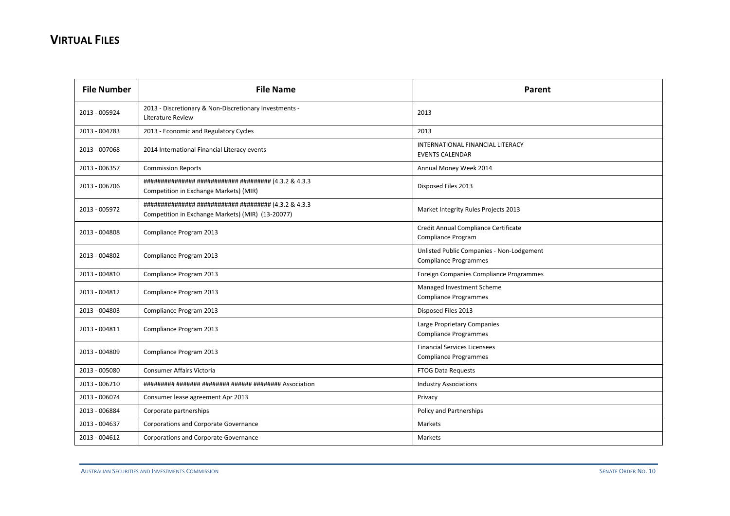| <b>File Number</b> | <b>File Name</b>                                                            | Parent                                                                    |
|--------------------|-----------------------------------------------------------------------------|---------------------------------------------------------------------------|
| 2013 - 005924      | 2013 - Discretionary & Non-Discretionary Investments -<br>Literature Review | 2013                                                                      |
| 2013 - 004783      | 2013 - Economic and Regulatory Cycles                                       | 2013                                                                      |
| 2013 - 007068      | 2014 International Financial Literacy events                                | INTERNATIONAL FINANCIAL LITERACY<br><b>EVENTS CALENDAR</b>                |
| 2013 - 006357      | <b>Commission Reports</b>                                                   | Annual Money Week 2014                                                    |
| 2013 - 006706      | Competition in Exchange Markets) (MIR)                                      | Disposed Files 2013                                                       |
| 2013 - 005972      | Competition in Exchange Markets) (MIR) (13-20077)                           | Market Integrity Rules Projects 2013                                      |
| 2013 - 004808      | Compliance Program 2013                                                     | Credit Annual Compliance Certificate<br>Compliance Program                |
| 2013 - 004802      | Compliance Program 2013                                                     | Unlisted Public Companies - Non-Lodgement<br><b>Compliance Programmes</b> |
| 2013 - 004810      | Compliance Program 2013                                                     | Foreign Companies Compliance Programmes                                   |
| 2013 - 004812      | Compliance Program 2013                                                     | Managed Investment Scheme<br><b>Compliance Programmes</b>                 |
| 2013 - 004803      | Compliance Program 2013                                                     | Disposed Files 2013                                                       |
| 2013 - 004811      | Compliance Program 2013                                                     | Large Proprietary Companies<br><b>Compliance Programmes</b>               |
| 2013 - 004809      | Compliance Program 2013                                                     | <b>Financial Services Licensees</b><br><b>Compliance Programmes</b>       |
| 2013 - 005080      | Consumer Affairs Victoria                                                   | <b>FTOG Data Requests</b>                                                 |
| 2013 - 006210      |                                                                             | <b>Industry Associations</b>                                              |
| 2013 - 006074      | Consumer lease agreement Apr 2013                                           | Privacy                                                                   |
| 2013 - 006884      | Corporate partnerships                                                      | Policy and Partnerships                                                   |
| 2013 - 004637      | Corporations and Corporate Governance                                       | Markets                                                                   |
| 2013 - 004612      | Corporations and Corporate Governance                                       | Markets                                                                   |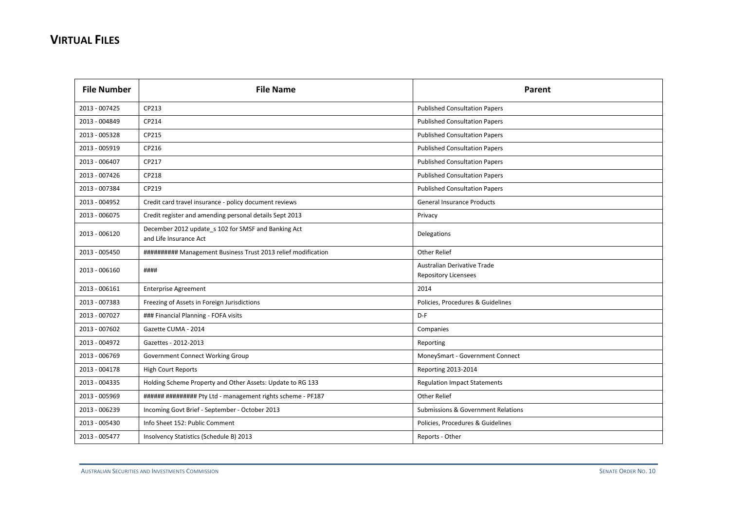| <b>File Number</b> | <b>File Name</b>                                                              | Parent                                                     |
|--------------------|-------------------------------------------------------------------------------|------------------------------------------------------------|
| 2013 - 007425      | CP213                                                                         | <b>Published Consultation Papers</b>                       |
| 2013 - 004849      | CP214                                                                         | <b>Published Consultation Papers</b>                       |
| 2013 - 005328      | CP215                                                                         | <b>Published Consultation Papers</b>                       |
| 2013 - 005919      | CP216                                                                         | <b>Published Consultation Papers</b>                       |
| 2013 - 006407      | CP217                                                                         | <b>Published Consultation Papers</b>                       |
| 2013 - 007426      | CP218                                                                         | <b>Published Consultation Papers</b>                       |
| 2013 - 007384      | CP219                                                                         | <b>Published Consultation Papers</b>                       |
| 2013 - 004952      | Credit card travel insurance - policy document reviews                        | <b>General Insurance Products</b>                          |
| 2013 - 006075      | Credit register and amending personal details Sept 2013                       | Privacy                                                    |
| 2013 - 006120      | December 2012 update_s 102 for SMSF and Banking Act<br>and Life Insurance Act | Delegations                                                |
| 2013 - 005450      | ########## Management Business Trust 2013 relief modification                 | <b>Other Relief</b>                                        |
| 2013 - 006160      | ####                                                                          | Australian Derivative Trade<br><b>Repository Licensees</b> |
| 2013 - 006161      | <b>Enterprise Agreement</b>                                                   | 2014                                                       |
| 2013 - 007383      | Freezing of Assets in Foreign Jurisdictions                                   | Policies, Procedures & Guidelines                          |
| 2013 - 007027      | ### Financial Planning - FOFA visits                                          | $D-F$                                                      |
| 2013 - 007602      | Gazette CUMA - 2014                                                           | Companies                                                  |
| 2013 - 004972      | Gazettes - 2012-2013                                                          | Reporting                                                  |
| 2013 - 006769      | Government Connect Working Group                                              | MoneySmart - Government Connect                            |
| 2013 - 004178      | <b>High Court Reports</b>                                                     | Reporting 2013-2014                                        |
| 2013 - 004335      | Holding Scheme Property and Other Assets: Update to RG 133                    | <b>Regulation Impact Statements</b>                        |
| 2013 - 005969      | ###### ######### Pty Ltd - management rights scheme - PF187                   | Other Relief                                               |
| 2013 - 006239      | Incoming Govt Brief - September - October 2013                                | <b>Submissions &amp; Government Relations</b>              |
| 2013 - 005430      | Info Sheet 152: Public Comment                                                | Policies, Procedures & Guidelines                          |
| 2013 - 005477      | Insolvency Statistics (Schedule B) 2013                                       | Reports - Other                                            |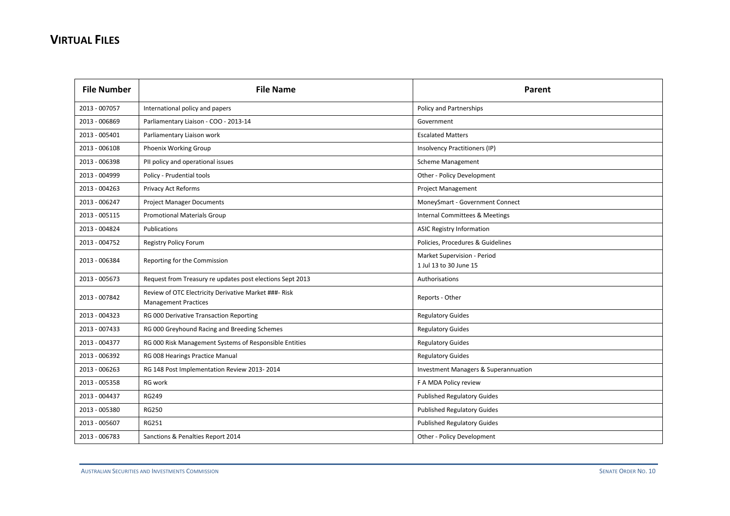| <b>File Number</b> | <b>File Name</b>                                                                     | Parent                                                |
|--------------------|--------------------------------------------------------------------------------------|-------------------------------------------------------|
| 2013 - 007057      | International policy and papers                                                      | Policy and Partnerships                               |
| 2013 - 006869      | Parliamentary Liaison - COO - 2013-14                                                | Government                                            |
| 2013 - 005401      | Parliamentary Liaison work                                                           | <b>Escalated Matters</b>                              |
| 2013 - 006108      | Phoenix Working Group                                                                | Insolvency Practitioners (IP)                         |
| 2013 - 006398      | PII policy and operational issues                                                    | <b>Scheme Management</b>                              |
| 2013 - 004999      | Policy - Prudential tools                                                            | Other - Policy Development                            |
| 2013 - 004263      | Privacy Act Reforms                                                                  | <b>Project Management</b>                             |
| 2013 - 006247      | <b>Project Manager Documents</b>                                                     | MoneySmart - Government Connect                       |
| 2013 - 005115      | <b>Promotional Materials Group</b>                                                   | Internal Committees & Meetings                        |
| 2013 - 004824      | Publications                                                                         | <b>ASIC Registry Information</b>                      |
| 2013 - 004752      | <b>Registry Policy Forum</b>                                                         | Policies, Procedures & Guidelines                     |
| 2013 - 006384      | Reporting for the Commission                                                         | Market Supervision - Period<br>1 Jul 13 to 30 June 15 |
| 2013 - 005673      | Request from Treasury re updates post elections Sept 2013                            | Authorisations                                        |
| 2013 - 007842      | Review of OTC Electricity Derivative Market ###- Risk<br><b>Management Practices</b> | Reports - Other                                       |
| 2013 - 004323      | RG 000 Derivative Transaction Reporting                                              | <b>Regulatory Guides</b>                              |
| 2013 - 007433      | RG 000 Greyhound Racing and Breeding Schemes                                         | <b>Regulatory Guides</b>                              |
| 2013 - 004377      | RG 000 Risk Management Systems of Responsible Entities                               | <b>Regulatory Guides</b>                              |
| 2013 - 006392      | RG 008 Hearings Practice Manual                                                      | <b>Regulatory Guides</b>                              |
| 2013 - 006263      | RG 148 Post Implementation Review 2013-2014                                          | <b>Investment Managers &amp; Superannuation</b>       |
| 2013 - 005358      | RG work                                                                              | F A MDA Policy review                                 |
| 2013 - 004437      | <b>RG249</b>                                                                         | <b>Published Regulatory Guides</b>                    |
| 2013 - 005380      | <b>RG250</b>                                                                         | <b>Published Regulatory Guides</b>                    |
| 2013 - 005607      | <b>RG251</b>                                                                         | <b>Published Regulatory Guides</b>                    |
| 2013 - 006783      | Sanctions & Penalties Report 2014                                                    | Other - Policy Development                            |